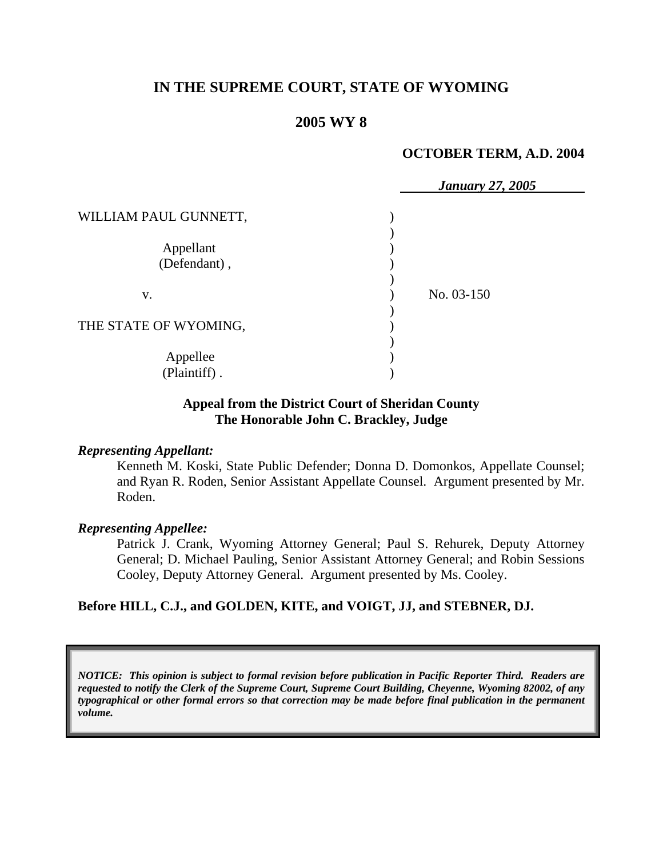## **IN THE SUPREME COURT, STATE OF WYOMING**

## **2005 WY 8**

#### **OCTOBER TERM, A.D. 2004**

|                       | <b>January 27, 2005</b> |
|-----------------------|-------------------------|
| WILLIAM PAUL GUNNETT, |                         |
|                       |                         |
| Appellant             |                         |
| (Defendant),          |                         |
|                       |                         |
| V.                    | No. 03-150              |
|                       |                         |
| THE STATE OF WYOMING, |                         |
|                       |                         |
| Appellee              |                         |
| (Plaintiff).          |                         |

#### **Appeal from the District Court of Sheridan County The Honorable John C. Brackley, Judge**

#### *Representing Appellant:*

Kenneth M. Koski, State Public Defender; Donna D. Domonkos, Appellate Counsel; and Ryan R. Roden, Senior Assistant Appellate Counsel. Argument presented by Mr. Roden.

#### *Representing Appellee:*

Patrick J. Crank, Wyoming Attorney General; Paul S. Rehurek, Deputy Attorney General; D. Michael Pauling, Senior Assistant Attorney General; and Robin Sessions Cooley, Deputy Attorney General. Argument presented by Ms. Cooley.

#### **Before HILL, C.J., and GOLDEN, KITE, and VOIGT, JJ, and STEBNER, DJ.**

*NOTICE: This opinion is subject to formal revision before publication in Pacific Reporter Third. Readers are requested to notify the Clerk of the Supreme Court, Supreme Court Building, Cheyenne, Wyoming 82002, of any typographical or other formal errors so that correction may be made before final publication in the permanent volume.*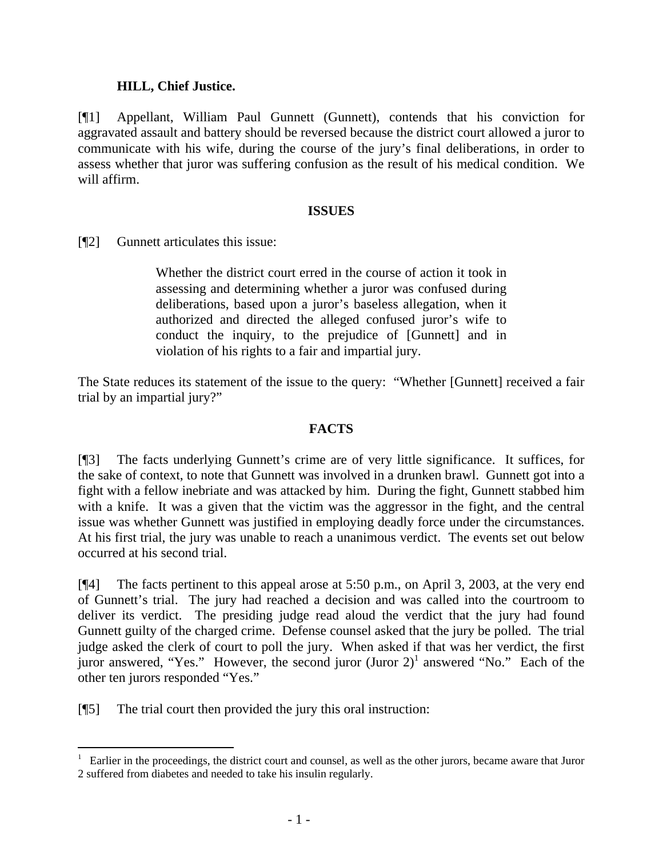## **HILL, Chief Justice.**

[¶1] Appellant, William Paul Gunnett (Gunnett), contends that his conviction for aggravated assault and battery should be reversed because the district court allowed a juror to communicate with his wife, during the course of the jury's final deliberations, in order to assess whether that juror was suffering confusion as the result of his medical condition. We will affirm.

## **ISSUES**

[¶2] Gunnett articulates this issue:

Whether the district court erred in the course of action it took in assessing and determining whether a juror was confused during deliberations, based upon a juror's baseless allegation, when it authorized and directed the alleged confused juror's wife to conduct the inquiry, to the prejudice of [Gunnett] and in violation of his rights to a fair and impartial jury.

The State reduces its statement of the issue to the query: "Whether [Gunnett] received a fair trial by an impartial jury?"

## **FACTS**

[¶3] The facts underlying Gunnett's crime are of very little significance. It suffices, for the sake of context, to note that Gunnett was involved in a drunken brawl. Gunnett got into a fight with a fellow inebriate and was attacked by him. During the fight, Gunnett stabbed him with a knife. It was a given that the victim was the aggressor in the fight, and the central issue was whether Gunnett was justified in employing deadly force under the circumstances. At his first trial, the jury was unable to reach a unanimous verdict. The events set out below occurred at his second trial.

[¶4] The facts pertinent to this appeal arose at 5:50 p.m., on April 3, 2003, at the very end of Gunnett's trial. The jury had reached a decision and was called into the courtroom to deliver its verdict. The presiding judge read aloud the verdict that the jury had found Gunnett guilty of the charged crime. Defense counsel asked that the jury be polled. The trial judge asked the clerk of court to poll the jury. When asked if that was her verdict, the first juror answered, "Yes." However, the second juror  $(Juror 2)^1$  answered "No." Each of the other ten jurors responded "Yes."

[¶5] The trial court then provided the jury this oral instruction:

 $\overline{a}$ 

<sup>&</sup>lt;sup>1</sup> Earlier in the proceedings, the district court and counsel, as well as the other jurors, became aware that Juror 2 suffered from diabetes and needed to take his insulin regularly.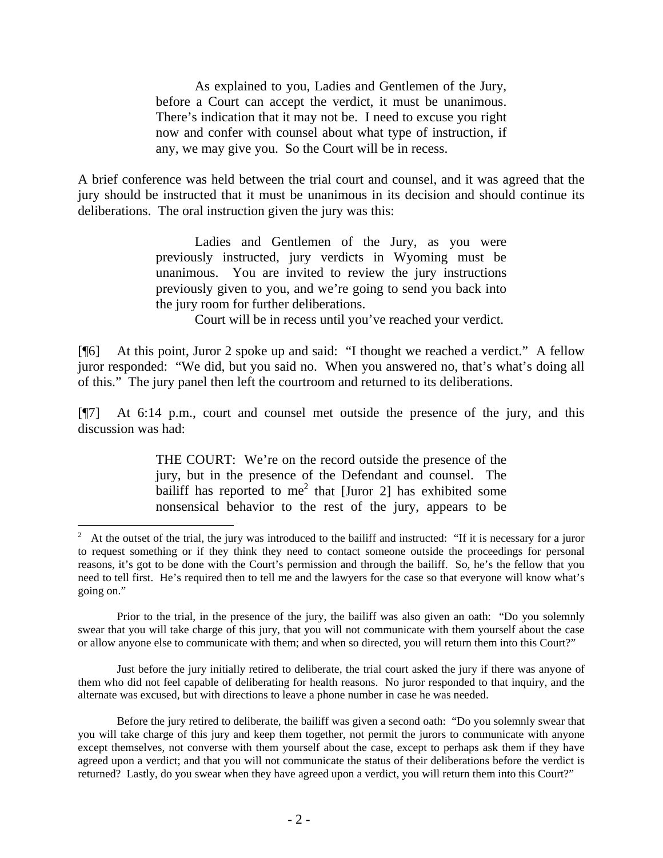As explained to you, Ladies and Gentlemen of the Jury, before a Court can accept the verdict, it must be unanimous. There's indication that it may not be. I need to excuse you right now and confer with counsel about what type of instruction, if any, we may give you. So the Court will be in recess.

A brief conference was held between the trial court and counsel, and it was agreed that the jury should be instructed that it must be unanimous in its decision and should continue its deliberations. The oral instruction given the jury was this:

> Ladies and Gentlemen of the Jury, as you were previously instructed, jury verdicts in Wyoming must be unanimous. You are invited to review the jury instructions previously given to you, and we're going to send you back into the jury room for further deliberations.

Court will be in recess until you've reached your verdict.

[¶6] At this point, Juror 2 spoke up and said: "I thought we reached a verdict." A fellow juror responded: "We did, but you said no. When you answered no, that's what's doing all of this." The jury panel then left the courtroom and returned to its deliberations.

[¶7] At 6:14 p.m., court and counsel met outside the presence of the jury, and this discussion was had:

> THE COURT: We're on the record outside the presence of the jury, but in the presence of the Defendant and counsel. The bailiff has reported to me<sup>2</sup> that [Juror 2] has exhibited some nonsensical behavior to the rest of the jury, appears to be

 $\overline{a}$ 

Just before the jury initially retired to deliberate, the trial court asked the jury if there was anyone of them who did not feel capable of deliberating for health reasons. No juror responded to that inquiry, and the alternate was excused, but with directions to leave a phone number in case he was needed.

<sup>2</sup> At the outset of the trial, the jury was introduced to the bailiff and instructed: "If it is necessary for a juror to request something or if they think they need to contact someone outside the proceedings for personal reasons, it's got to be done with the Court's permission and through the bailiff. So, he's the fellow that you need to tell first. He's required then to tell me and the lawyers for the case so that everyone will know what's going on."

Prior to the trial, in the presence of the jury, the bailiff was also given an oath: "Do you solemnly swear that you will take charge of this jury, that you will not communicate with them yourself about the case or allow anyone else to communicate with them; and when so directed, you will return them into this Court?"

Before the jury retired to deliberate, the bailiff was given a second oath: "Do you solemnly swear that you will take charge of this jury and keep them together, not permit the jurors to communicate with anyone except themselves, not converse with them yourself about the case, except to perhaps ask them if they have agreed upon a verdict; and that you will not communicate the status of their deliberations before the verdict is returned? Lastly, do you swear when they have agreed upon a verdict, you will return them into this Court?"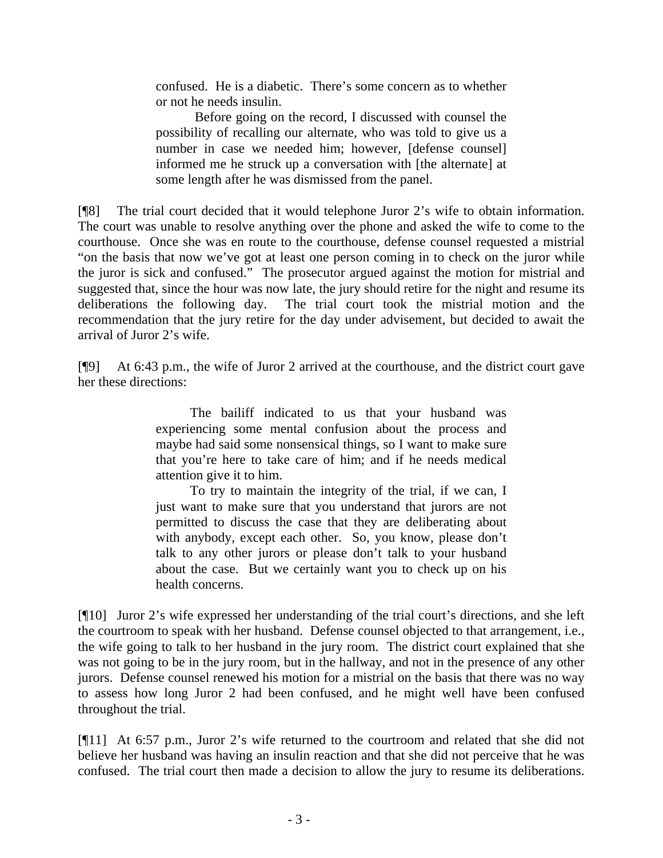confused. He is a diabetic. There's some concern as to whether or not he needs insulin.

Before going on the record, I discussed with counsel the possibility of recalling our alternate, who was told to give us a number in case we needed him; however, [defense counsel] informed me he struck up a conversation with [the alternate] at some length after he was dismissed from the panel.

[¶8] The trial court decided that it would telephone Juror 2's wife to obtain information. The court was unable to resolve anything over the phone and asked the wife to come to the courthouse. Once she was en route to the courthouse, defense counsel requested a mistrial "on the basis that now we've got at least one person coming in to check on the juror while the juror is sick and confused." The prosecutor argued against the motion for mistrial and suggested that, since the hour was now late, the jury should retire for the night and resume its deliberations the following day. The trial court took the mistrial motion and the recommendation that the jury retire for the day under advisement, but decided to await the arrival of Juror 2's wife.

[¶9] At 6:43 p.m., the wife of Juror 2 arrived at the courthouse, and the district court gave her these directions:

> The bailiff indicated to us that your husband was experiencing some mental confusion about the process and maybe had said some nonsensical things, so I want to make sure that you're here to take care of him; and if he needs medical attention give it to him.

> To try to maintain the integrity of the trial, if we can, I just want to make sure that you understand that jurors are not permitted to discuss the case that they are deliberating about with anybody, except each other. So, you know, please don't talk to any other jurors or please don't talk to your husband about the case. But we certainly want you to check up on his health concerns.

[¶10] Juror 2's wife expressed her understanding of the trial court's directions, and she left the courtroom to speak with her husband. Defense counsel objected to that arrangement, i.e., the wife going to talk to her husband in the jury room. The district court explained that she was not going to be in the jury room, but in the hallway, and not in the presence of any other jurors. Defense counsel renewed his motion for a mistrial on the basis that there was no way to assess how long Juror 2 had been confused, and he might well have been confused throughout the trial.

[¶11] At 6:57 p.m., Juror 2's wife returned to the courtroom and related that she did not believe her husband was having an insulin reaction and that she did not perceive that he was confused. The trial court then made a decision to allow the jury to resume its deliberations.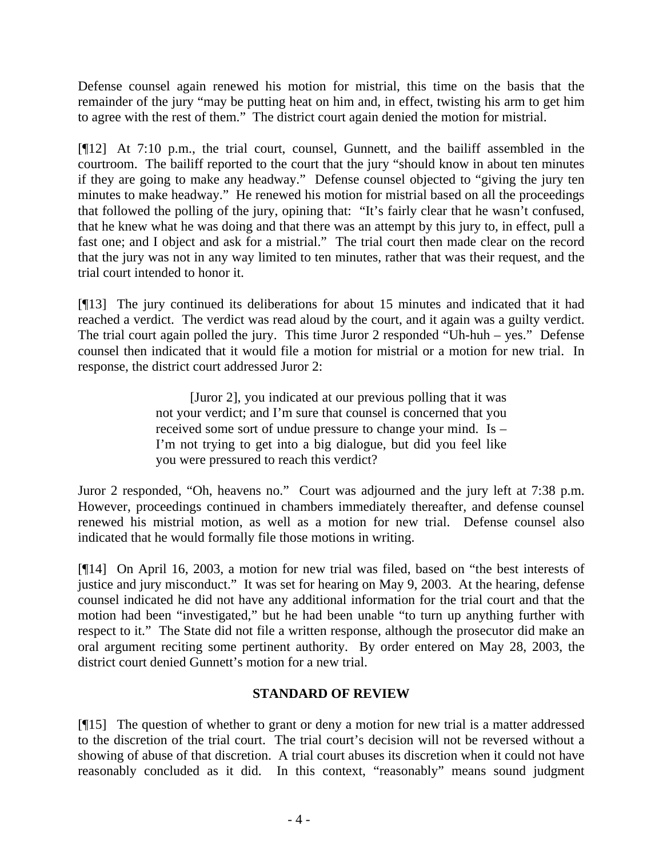Defense counsel again renewed his motion for mistrial, this time on the basis that the remainder of the jury "may be putting heat on him and, in effect, twisting his arm to get him to agree with the rest of them." The district court again denied the motion for mistrial.

[¶12] At 7:10 p.m., the trial court, counsel, Gunnett, and the bailiff assembled in the courtroom. The bailiff reported to the court that the jury "should know in about ten minutes if they are going to make any headway." Defense counsel objected to "giving the jury ten minutes to make headway." He renewed his motion for mistrial based on all the proceedings that followed the polling of the jury, opining that: "It's fairly clear that he wasn't confused, that he knew what he was doing and that there was an attempt by this jury to, in effect, pull a fast one; and I object and ask for a mistrial." The trial court then made clear on the record that the jury was not in any way limited to ten minutes, rather that was their request, and the trial court intended to honor it.

[¶13] The jury continued its deliberations for about 15 minutes and indicated that it had reached a verdict. The verdict was read aloud by the court, and it again was a guilty verdict. The trial court again polled the jury. This time Juror 2 responded "Uh-huh – yes." Defense counsel then indicated that it would file a motion for mistrial or a motion for new trial. In response, the district court addressed Juror 2:

> [Juror 2], you indicated at our previous polling that it was not your verdict; and I'm sure that counsel is concerned that you received some sort of undue pressure to change your mind. Is – I'm not trying to get into a big dialogue, but did you feel like you were pressured to reach this verdict?

Juror 2 responded, "Oh, heavens no." Court was adjourned and the jury left at 7:38 p.m. However, proceedings continued in chambers immediately thereafter, and defense counsel renewed his mistrial motion, as well as a motion for new trial. Defense counsel also indicated that he would formally file those motions in writing.

[¶14] On April 16, 2003, a motion for new trial was filed, based on "the best interests of justice and jury misconduct." It was set for hearing on May 9, 2003. At the hearing, defense counsel indicated he did not have any additional information for the trial court and that the motion had been "investigated," but he had been unable "to turn up anything further with respect to it." The State did not file a written response, although the prosecutor did make an oral argument reciting some pertinent authority. By order entered on May 28, 2003, the district court denied Gunnett's motion for a new trial.

# **STANDARD OF REVIEW**

[¶15] The question of whether to grant or deny a motion for new trial is a matter addressed to the discretion of the trial court. The trial court's decision will not be reversed without a showing of abuse of that discretion. A trial court abuses its discretion when it could not have reasonably concluded as it did. In this context, "reasonably" means sound judgment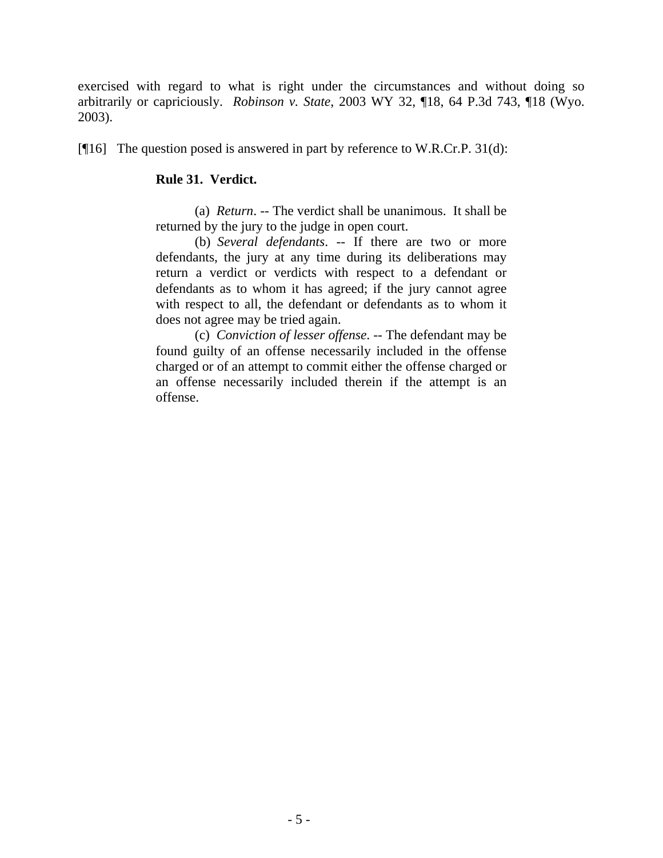exercised with regard to what is right under the circumstances and without doing so arbitrarily or capriciously. *Robinson v. State*, 2003 WY 32, ¶18, 64 P.3d 743, ¶18 (Wyo. 2003).

[¶16] The question posed is answered in part by reference to W.R.Cr.P. 31(d):

## **Rule 31. Verdict.**

 (a) *Return*. -- The verdict shall be unanimous. It shall be returned by the jury to the judge in open court.

 (b) *Several defendants*. -- If there are two or more defendants, the jury at any time during its deliberations may return a verdict or verdicts with respect to a defendant or defendants as to whom it has agreed; if the jury cannot agree with respect to all, the defendant or defendants as to whom it does not agree may be tried again.

 (c) *Conviction of lesser offense*. -- The defendant may be found guilty of an offense necessarily included in the offense charged or of an attempt to commit either the offense charged or an offense necessarily included therein if the attempt is an offense.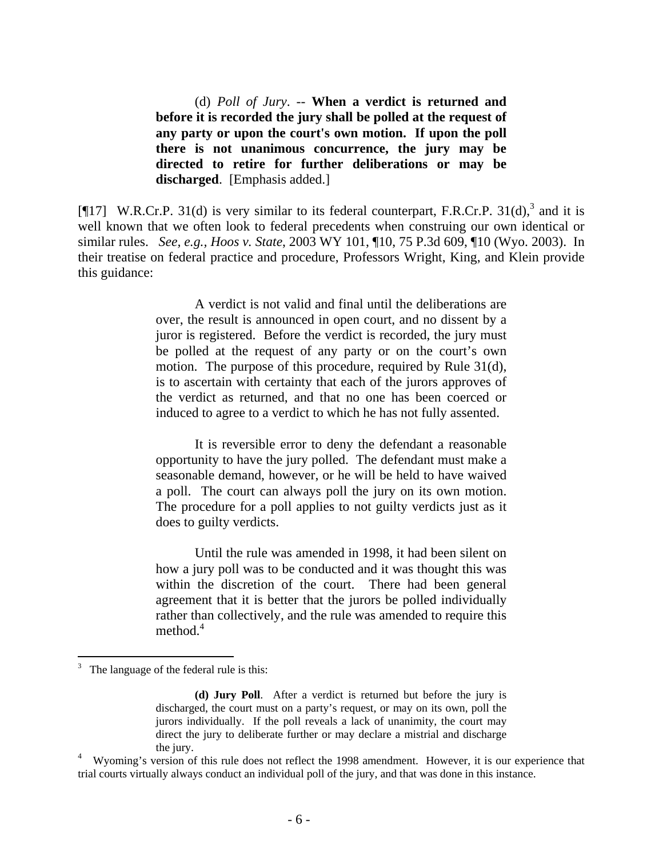(d) *Poll of Jury*. -- **When a verdict is returned and before it is recorded the jury shall be polled at the request of any party or upon the court's own motion. If upon the poll there is not unanimous concurrence, the jury may be directed to retire for further deliberations or may be discharged**. [Emphasis added.]

[ $[17]$  W.R.Cr.P. 31(d) is very similar to its federal counterpart, F.R.Cr.P. 31(d),<sup>3</sup> and it is well known that we often look to federal precedents when construing our own identical or similar rules. *See, e.g., Hoos v. State*, 2003 WY 101, ¶10, 75 P.3d 609, ¶10 (Wyo. 2003). In their treatise on federal practice and procedure, Professors Wright, King, and Klein provide this guidance:

> A verdict is not valid and final until the deliberations are over, the result is announced in open court, and no dissent by a juror is registered. Before the verdict is recorded, the jury must be polled at the request of any party or on the court's own motion. The purpose of this procedure, required by Rule 31(d), is to ascertain with certainty that each of the jurors approves of the verdict as returned, and that no one has been coerced or induced to agree to a verdict to which he has not fully assented.

> It is reversible error to deny the defendant a reasonable opportunity to have the jury polled. The defendant must make a seasonable demand, however, or he will be held to have waived a poll. The court can always poll the jury on its own motion. The procedure for a poll applies to not guilty verdicts just as it does to guilty verdicts.

> Until the rule was amended in 1998, it had been silent on how a jury poll was to be conducted and it was thought this was within the discretion of the court. There had been general agreement that it is better that the jurors be polled individually rather than collectively, and the rule was amended to require this method. $4$

<sup>3</sup> The language of the federal rule is this:

**<sup>(</sup>d) Jury Poll**. After a verdict is returned but before the jury is discharged, the court must on a party's request, or may on its own, poll the jurors individually. If the poll reveals a lack of unanimity, the court may direct the jury to deliberate further or may declare a mistrial and discharge

the jury.<br><sup>4</sup> Wyoming's version of this rule does not reflect the 1998 amendment. However, it is our experience that trial courts virtually always conduct an individual poll of the jury, and that was done in this instance.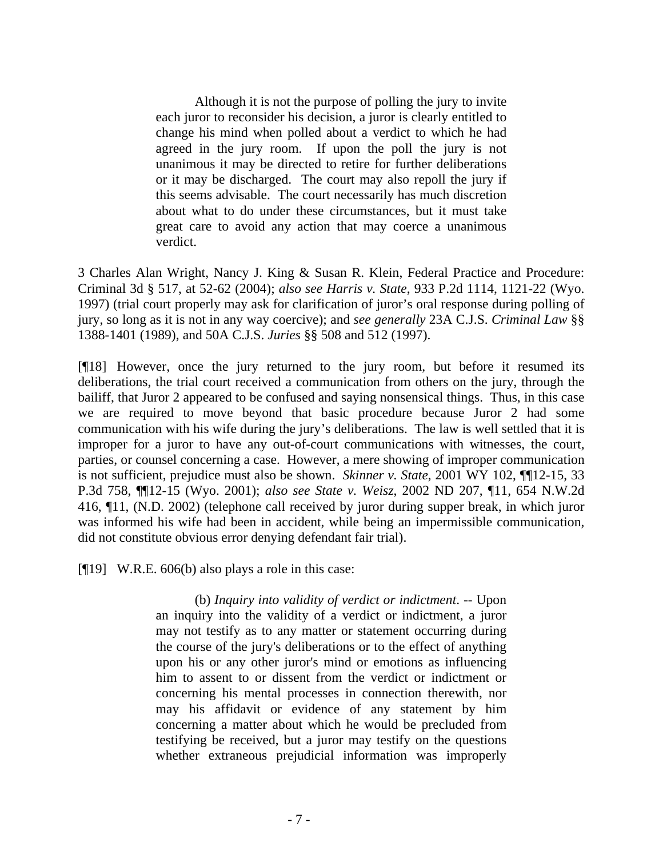Although it is not the purpose of polling the jury to invite each juror to reconsider his decision, a juror is clearly entitled to change his mind when polled about a verdict to which he had agreed in the jury room. If upon the poll the jury is not unanimous it may be directed to retire for further deliberations or it may be discharged. The court may also repoll the jury if this seems advisable. The court necessarily has much discretion about what to do under these circumstances, but it must take great care to avoid any action that may coerce a unanimous verdict.

3 Charles Alan Wright, Nancy J. King & Susan R. Klein, Federal Practice and Procedure: Criminal 3d § 517, at 52-62 (2004); *also see Harris v. State*, 933 P.2d 1114, 1121-22 (Wyo. 1997) (trial court properly may ask for clarification of juror's oral response during polling of jury, so long as it is not in any way coercive); and *see generally* 23A C.J.S. *Criminal Law* §§ 1388-1401 (1989), and 50A C.J.S. *Juries* §§ 508 and 512 (1997).

[¶18] However, once the jury returned to the jury room, but before it resumed its deliberations, the trial court received a communication from others on the jury, through the bailiff, that Juror 2 appeared to be confused and saying nonsensical things. Thus, in this case we are required to move beyond that basic procedure because Juror 2 had some communication with his wife during the jury's deliberations. The law is well settled that it is improper for a juror to have any out-of-court communications with witnesses, the court, parties, or counsel concerning a case. However, a mere showing of improper communication is not sufficient, prejudice must also be shown. *Skinner v. State*, 2001 WY 102, ¶¶12-15, 33 P.3d 758, ¶¶12-15 (Wyo. 2001); *also see State v. Weisz*, 2002 ND 207, ¶11, 654 N.W.2d 416, ¶11, (N.D. 2002) (telephone call received by juror during supper break, in which juror was informed his wife had been in accident, while being an impermissible communication, did not constitute obvious error denying defendant fair trial).

[¶19] W.R.E. 606(b) also plays a role in this case:

(b) *Inquiry into validity of verdict or indictment*. -- Upon an inquiry into the validity of a verdict or indictment, a juror may not testify as to any matter or statement occurring during the course of the jury's deliberations or to the effect of anything upon his or any other juror's mind or emotions as influencing him to assent to or dissent from the verdict or indictment or concerning his mental processes in connection therewith, nor may his affidavit or evidence of any statement by him concerning a matter about which he would be precluded from testifying be received, but a juror may testify on the questions whether extraneous prejudicial information was improperly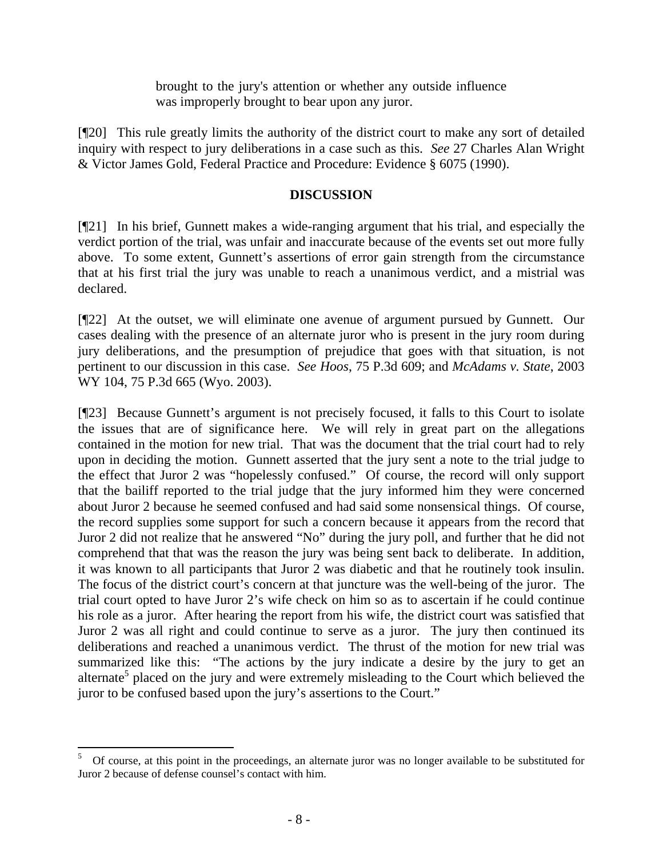brought to the jury's attention or whether any outside influence was improperly brought to bear upon any juror.

[¶20] This rule greatly limits the authority of the district court to make any sort of detailed inquiry with respect to jury deliberations in a case such as this. *See* 27 Charles Alan Wright & Victor James Gold, Federal Practice and Procedure: Evidence § 6075 (1990).

## **DISCUSSION**

[¶21] In his brief, Gunnett makes a wide-ranging argument that his trial, and especially the verdict portion of the trial, was unfair and inaccurate because of the events set out more fully above. To some extent, Gunnett's assertions of error gain strength from the circumstance that at his first trial the jury was unable to reach a unanimous verdict, and a mistrial was declared.

[¶22] At the outset, we will eliminate one avenue of argument pursued by Gunnett. Our cases dealing with the presence of an alternate juror who is present in the jury room during jury deliberations, and the presumption of prejudice that goes with that situation, is not pertinent to our discussion in this case. *See Hoos*, 75 P.3d 609; and *McAdams v. State*, 2003 WY 104, 75 P.3d 665 (Wyo. 2003).

[¶23] Because Gunnett's argument is not precisely focused, it falls to this Court to isolate the issues that are of significance here. We will rely in great part on the allegations contained in the motion for new trial. That was the document that the trial court had to rely upon in deciding the motion. Gunnett asserted that the jury sent a note to the trial judge to the effect that Juror 2 was "hopelessly confused." Of course, the record will only support that the bailiff reported to the trial judge that the jury informed him they were concerned about Juror 2 because he seemed confused and had said some nonsensical things. Of course, the record supplies some support for such a concern because it appears from the record that Juror 2 did not realize that he answered "No" during the jury poll, and further that he did not comprehend that that was the reason the jury was being sent back to deliberate. In addition, it was known to all participants that Juror 2 was diabetic and that he routinely took insulin. The focus of the district court's concern at that juncture was the well-being of the juror. The trial court opted to have Juror 2's wife check on him so as to ascertain if he could continue his role as a juror. After hearing the report from his wife, the district court was satisfied that Juror 2 was all right and could continue to serve as a juror. The jury then continued its deliberations and reached a unanimous verdict. The thrust of the motion for new trial was summarized like this: "The actions by the jury indicate a desire by the jury to get an alternate<sup>5</sup> placed on the jury and were extremely misleading to the Court which believed the juror to be confused based upon the jury's assertions to the Court."

 $\frac{1}{5}$  Of course, at this point in the proceedings, an alternate juror was no longer available to be substituted for Juror 2 because of defense counsel's contact with him.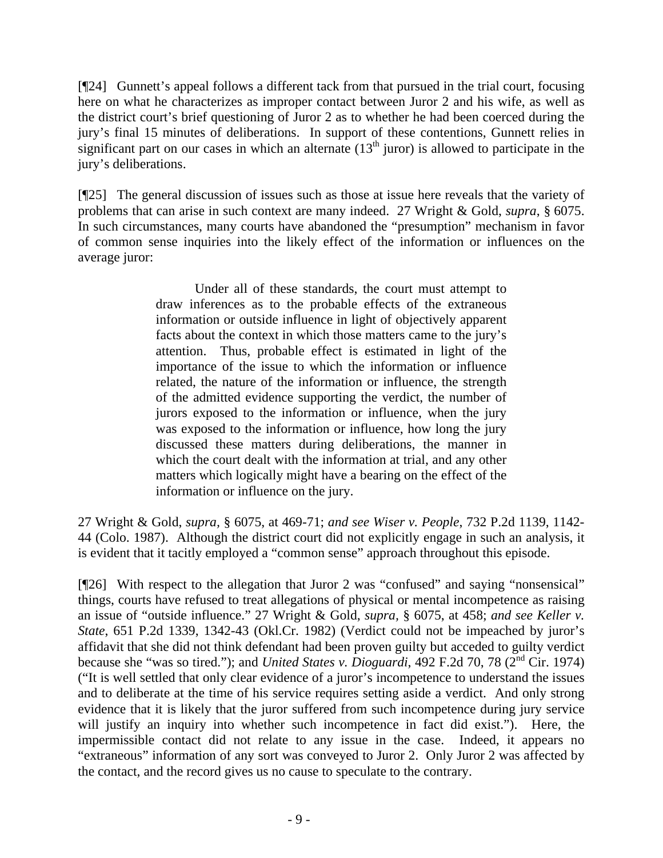[¶24] Gunnett's appeal follows a different tack from that pursued in the trial court, focusing here on what he characterizes as improper contact between Juror 2 and his wife, as well as the district court's brief questioning of Juror 2 as to whether he had been coerced during the jury's final 15 minutes of deliberations. In support of these contentions, Gunnett relies in significant part on our cases in which an alternate  $(13<sup>th</sup>$  juror) is allowed to participate in the jury's deliberations.

[¶25] The general discussion of issues such as those at issue here reveals that the variety of problems that can arise in such context are many indeed. 27 Wright & Gold, *supra*, § 6075. In such circumstances, many courts have abandoned the "presumption" mechanism in favor of common sense inquiries into the likely effect of the information or influences on the average juror:

> Under all of these standards, the court must attempt to draw inferences as to the probable effects of the extraneous information or outside influence in light of objectively apparent facts about the context in which those matters came to the jury's attention. Thus, probable effect is estimated in light of the importance of the issue to which the information or influence related, the nature of the information or influence, the strength of the admitted evidence supporting the verdict, the number of jurors exposed to the information or influence, when the jury was exposed to the information or influence, how long the jury discussed these matters during deliberations, the manner in which the court dealt with the information at trial, and any other matters which logically might have a bearing on the effect of the information or influence on the jury.

27 Wright & Gold, *supra,* § 6075, at 469-71; *and see Wiser v. People*, 732 P.2d 1139, 1142- 44 (Colo. 1987). Although the district court did not explicitly engage in such an analysis, it is evident that it tacitly employed a "common sense" approach throughout this episode.

[¶26] With respect to the allegation that Juror 2 was "confused" and saying "nonsensical" things, courts have refused to treat allegations of physical or mental incompetence as raising an issue of "outside influence." 27 Wright & Gold, *supra,* § 6075, at 458; *and see Keller v. State*, 651 P.2d 1339, 1342-43 (Okl.Cr. 1982) (Verdict could not be impeached by juror's affidavit that she did not think defendant had been proven guilty but acceded to guilty verdict because she "was so tired."); and *United States v. Dioguardi*, 492 F.2d 70, 78 (2nd Cir. 1974) ("It is well settled that only clear evidence of a juror's incompetence to understand the issues and to deliberate at the time of his service requires setting aside a verdict. And only strong evidence that it is likely that the juror suffered from such incompetence during jury service will justify an inquiry into whether such incompetence in fact did exist."). Here, the impermissible contact did not relate to any issue in the case. Indeed, it appears no "extraneous" information of any sort was conveyed to Juror 2. Only Juror 2 was affected by the contact, and the record gives us no cause to speculate to the contrary.